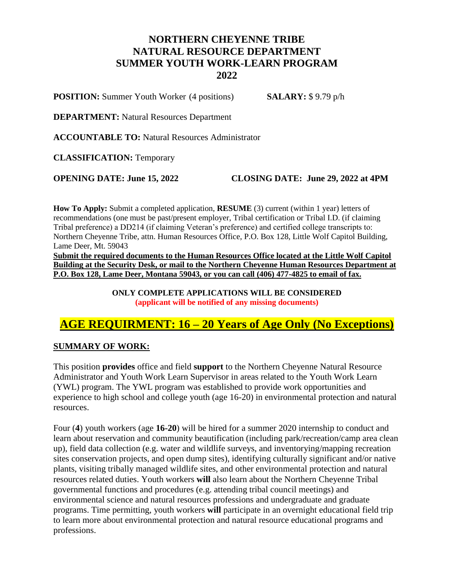## **NORTHERN CHEYENNE TRIBE NATURAL RESOURCE DEPARTMENT SUMMER YOUTH WORK-LEARN PROGRAM 2022**

**POSITION:** Summer Youth Worker (4 positions) **SALARY:** \$ 9.79 p/h

**DEPARTMENT:** Natural Resources Department

**ACCOUNTABLE TO:** Natural Resources Administrator

**CLASSIFICATION:** Temporary

**OPENING DATE: June 15, 2022 CLOSING DATE: June 29, 2022 at 4PM**

**How To Apply:** Submit a completed application, **RESUME** (3) current (within 1 year) letters of recommendations (one must be past/present employer, Tribal certification or Tribal I.D. (if claiming Tribal preference) a DD214 (if claiming Veteran's preference) and certified college transcripts to: Northern Cheyenne Tribe, attn. Human Resources Office, P.O. Box 128, Little Wolf Capitol Building, Lame Deer, Mt. 59043

**Submit the required documents to the Human Resources Office located at the Little Wolf Capitol Building at the Security Desk, or mail to the Northern Cheyenne Human Resources Department at P.O. Box 128, Lame Deer, Montana 59043, or you can call (406) 477-4825 to email of fax.**

> **ONLY COMPLETE APPLICATIONS WILL BE CONSIDERED (applicant will be notified of any missing documents)**

# **AGE REQUIRMENT: 16 – 20 Years of Age Only (No Exceptions)**

## **SUMMARY OF WORK:**

This position **provides** office and field **support** to the Northern Cheyenne Natural Resource Administrator and Youth Work Learn Supervisor in areas related to the Youth Work Learn (YWL) program. The YWL program was established to provide work opportunities and experience to high school and college youth (age 16-20) in environmental protection and natural resources.

Four (**4**) youth workers (age **16-20**) will be hired for a summer 2020 internship to conduct and learn about reservation and community beautification (including park/recreation/camp area clean up), field data collection (e.g. water and wildlife surveys, and inventorying/mapping recreation sites conservation projects, and open dump sites), identifying culturally significant and/or native plants, visiting tribally managed wildlife sites, and other environmental protection and natural resources related duties. Youth workers **will** also learn about the Northern Cheyenne Tribal governmental functions and procedures (e.g. attending tribal council meetings) and environmental science and natural resources professions and undergraduate and graduate programs. Time permitting, youth workers **will** participate in an overnight educational field trip to learn more about environmental protection and natural resource educational programs and professions.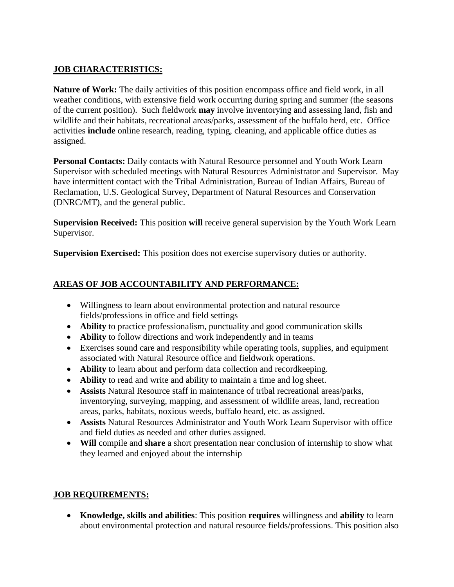## **JOB CHARACTERISTICS:**

**Nature of Work:** The daily activities of this position encompass office and field work, in all weather conditions, with extensive field work occurring during spring and summer (the seasons of the current position). Such fieldwork **may** involve inventorying and assessing land, fish and wildlife and their habitats, recreational areas/parks, assessment of the buffalo herd, etc. Office activities **include** online research, reading, typing, cleaning, and applicable office duties as assigned.

Personal Contacts: Daily contacts with Natural Resource personnel and Youth Work Learn Supervisor with scheduled meetings with Natural Resources Administrator and Supervisor. May have intermittent contact with the Tribal Administration, Bureau of Indian Affairs, Bureau of Reclamation, U.S. Geological Survey, Department of Natural Resources and Conservation (DNRC/MT), and the general public.

**Supervision Received:** This position **will** receive general supervision by the Youth Work Learn Supervisor.

**Supervision Exercised:** This position does not exercise supervisory duties or authority.

## **AREAS OF JOB ACCOUNTABILITY AND PERFORMANCE:**

- Willingness to learn about environmental protection and natural resource fields/professions in office and field settings
- **Ability** to practice professionalism, punctuality and good communication skills
- **Ability** to follow directions and work independently and in teams
- Exercises sound care and responsibility while operating tools, supplies, and equipment associated with Natural Resource office and fieldwork operations.
- **Ability** to learn about and perform data collection and recordkeeping.
- **Ability** to read and write and ability to maintain a time and log sheet.
- **Assists** Natural Resource staff in maintenance of tribal recreational areas/parks, inventorying, surveying, mapping, and assessment of wildlife areas, land, recreation areas, parks, habitats, noxious weeds, buffalo heard, etc. as assigned.
- **Assists** Natural Resources Administrator and Youth Work Learn Supervisor with office and field duties as needed and other duties assigned.
- **Will** compile and **share** a short presentation near conclusion of internship to show what they learned and enjoyed about the internship

#### **JOB REQUIREMENTS:**

 **Knowledge, skills and abilities**: This position **requires** willingness and **ability** to learn about environmental protection and natural resource fields/professions. This position also